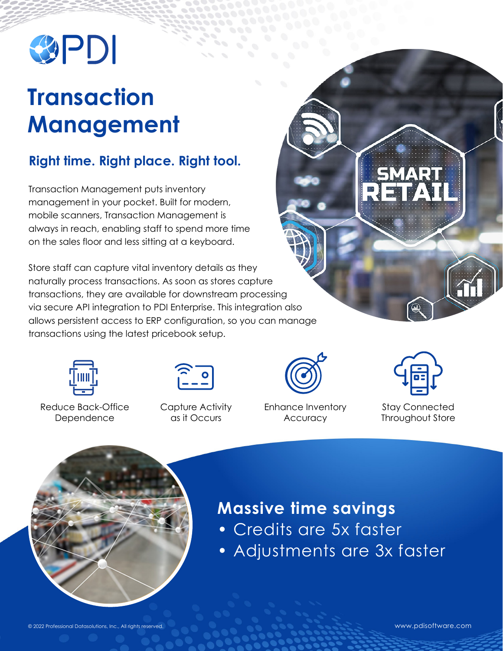

# **Transaction Management**

### **Right time. Right place. Right tool.**

Transaction Management puts inventory management in your pocket. Built for modern, mobile scanners, Transaction Management is always in reach, enabling staff to spend more time on the sales floor and less sitting at a keyboard.

Store staff can capture vital inventory details as they naturally process transactions. As soon as stores capture transactions, they are available for downstream processing via secure API integration to PDI Enterprise. This integration also allows persistent access to ERP configuration, so you can manage transactions using the latest pricebook setup.



Reduce Back-Office Dependence



Capture Activity as it Occurs



Enhance Inventory **Accuracy** 



SMART

RET

Stay Connected Throughout Store



## **Massive time savings**

- Credits are 5x faster
- Adjustments are 3x faster